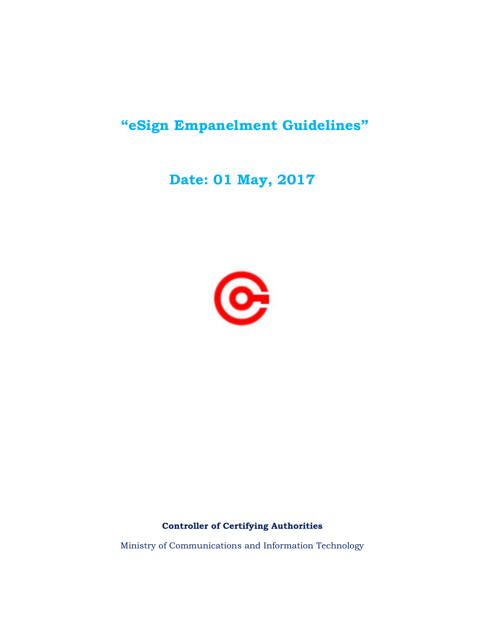# **"eSign Empanelment Guidelines"**

## **Date: 01 May, 2017**



## **Controller of Certifying Authorities**

Ministry of Communications and Information Technology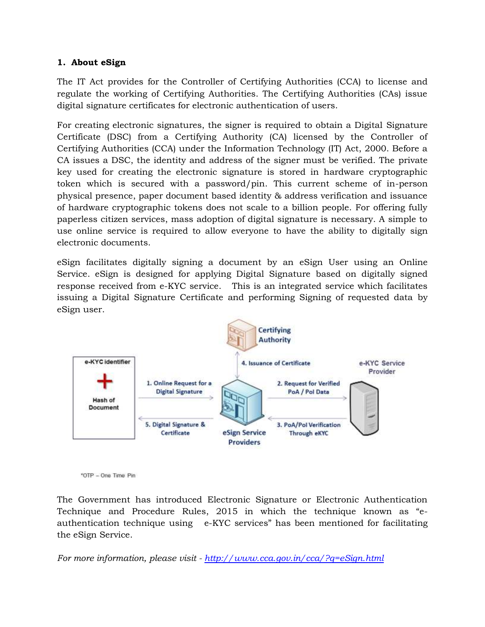## **1. About eSign**

The IT Act provides for the Controller of Certifying Authorities (CCA) to license and regulate the working of Certifying Authorities. The Certifying Authorities (CAs) issue digital signature certificates for electronic authentication of users.

For creating electronic signatures, the signer is required to obtain a Digital Signature Certificate (DSC) from a Certifying Authority (CA) licensed by the Controller of Certifying Authorities (CCA) under the Information Technology (IT) Act, 2000. Before a CA issues a DSC, the identity and address of the signer must be verified. The private key used for creating the electronic signature is stored in hardware cryptographic token which is secured with a password/pin. This current scheme of in-person physical presence, paper document based identity & address verification and issuance of hardware cryptographic tokens does not scale to a billion people. For offering fully paperless citizen services, mass adoption of digital signature is necessary. A simple to use online service is required to allow everyone to have the ability to digitally sign electronic documents.

eSign facilitates digitally signing a document by an eSign User using an Online Service. eSign is designed for applying Digital Signature based on digitally signed response received from e-KYC service. This is an integrated service which facilitates issuing a Digital Signature Certificate and performing Signing of requested data by eSign user.



<sup>\*</sup>OTP - One Time Pin

The Government has introduced Electronic Signature or Electronic Authentication Technique and Procedure Rules, 2015 in which the technique known as "eauthentication technique using e-KYC services" has been mentioned for facilitating the eSign Service.

*For more information, please visit - <http://www.cca.gov.in/cca/?q=eSign.html>*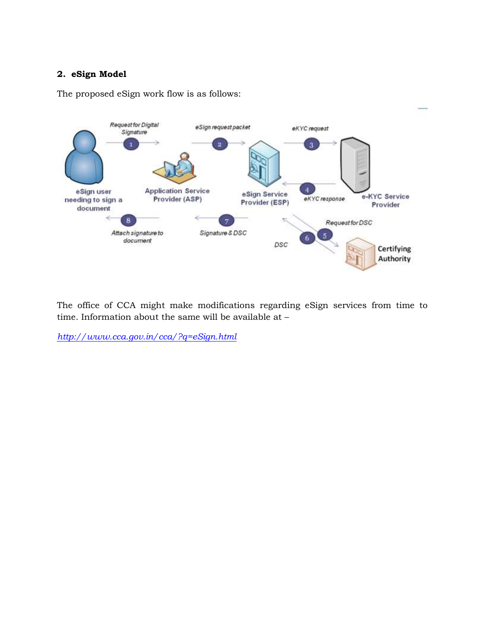## **2. eSign Model**

The proposed eSign work flow is as follows:



The office of CCA might make modifications regarding eSign services from time to time. Information about the same will be available at –

*<http://www.cca.gov.in/cca/?q=eSign.html>*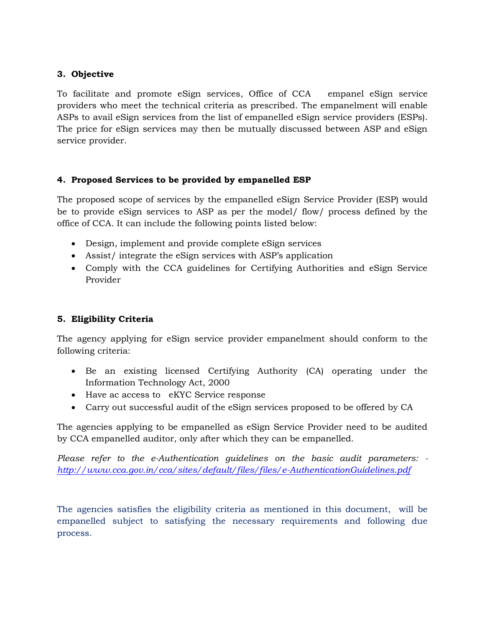## **3. Objective**

To facilitate and promote eSign services, Office of CCA empanel eSign service providers who meet the technical criteria as prescribed. The empanelment will enable ASPs to avail eSign services from the list of empanelled eSign service providers (ESPs). The price for eSign services may then be mutually discussed between ASP and eSign service provider.

## **4. Proposed Services to be provided by empanelled ESP**

The proposed scope of services by the empanelled eSign Service Provider (ESP) would be to provide eSign services to ASP as per the model/ flow/ process defined by the office of CCA. It can include the following points listed below:

- Design, implement and provide complete eSign services
- Assist/ integrate the eSign services with ASP's application
- Comply with the CCA guidelines for Certifying Authorities and eSign Service Provider

## **5. Eligibility Criteria**

The agency applying for eSign service provider empanelment should conform to the following criteria:

- Be an existing licensed Certifying Authority (CA) operating under the Information Technology Act, 2000
- Have ac access to eKYC Service response
- Carry out successful audit of the eSign services proposed to be offered by CA

The agencies applying to be empanelled as eSign Service Provider need to be audited by CCA empanelled auditor, only after which they can be empanelled.

*Please refer to the e-Authentication guidelines on the basic audit parameters: <http://www.cca.gov.in/cca/sites/default/files/files/e-AuthenticationGuidelines.pdf>*

The agencies satisfies the eligibility criteria as mentioned in this document, will be empanelled subject to satisfying the necessary requirements and following due process.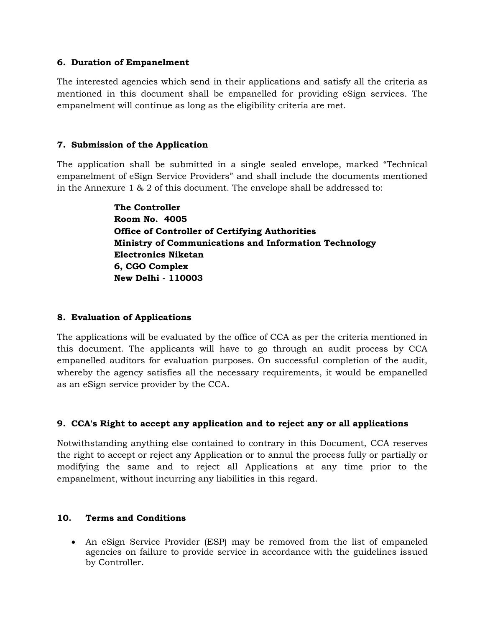#### **6. Duration of Empanelment**

The interested agencies which send in their applications and satisfy all the criteria as mentioned in this document shall be empanelled for providing eSign services. The empanelment will continue as long as the eligibility criteria are met.

#### **7. Submission of the Application**

The application shall be submitted in a single sealed envelope, marked "Technical empanelment of eSign Service Providers" and shall include the documents mentioned in the Annexure 1 & 2 of this document. The envelope shall be addressed to:

> **The Controller Room No. 4005 Office of Controller of Certifying Authorities Ministry of Communications and Information Technology Electronics Niketan 6, CGO Complex New Delhi - 110003**

## **8. Evaluation of Applications**

The applications will be evaluated by the office of CCA as per the criteria mentioned in this document. The applicants will have to go through an audit process by CCA empanelled auditors for evaluation purposes. On successful completion of the audit, whereby the agency satisfies all the necessary requirements, it would be empanelled as an eSign service provider by the CCA.

## **9. CCA's Right to accept any application and to reject any or all applications**

Notwithstanding anything else contained to contrary in this Document, CCA reserves the right to accept or reject any Application or to annul the process fully or partially or modifying the same and to reject all Applications at any time prior to the empanelment, without incurring any liabilities in this regard.

#### **10. Terms and Conditions**

 An eSign Service Provider (ESP) may be removed from the list of empaneled agencies on failure to provide service in accordance with the guidelines issued by Controller.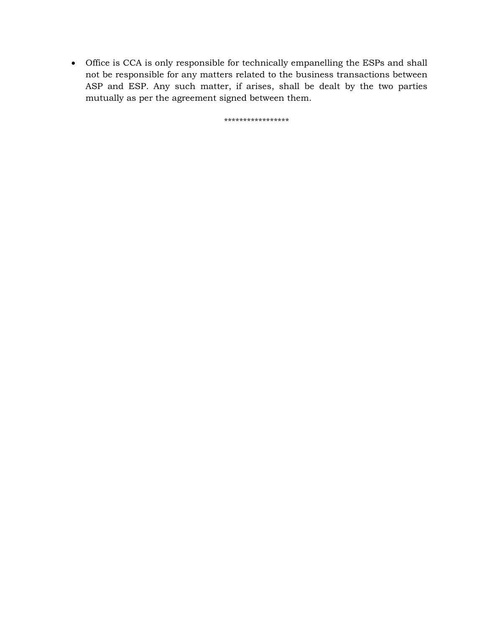Office is CCA is only responsible for technically empanelling the ESPs and shall not be responsible for any matters related to the business transactions between ASP and ESP. Any such matter, if arises, shall be dealt by the two parties mutually as per the agreement signed between them.

\*\*\*\*\*\*\*\*\*\*\*\*\*\*\*\*\*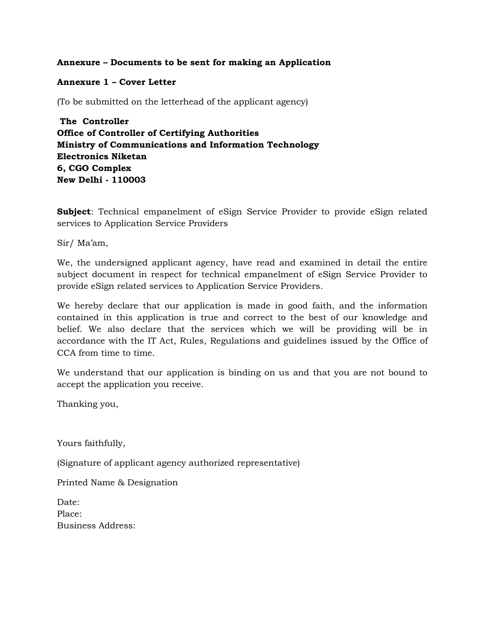#### **Annexure – Documents to be sent for making an Application**

#### **Annexure 1 – Cover Letter**

(To be submitted on the letterhead of the applicant agency)

**The Controller Office of Controller of Certifying Authorities Ministry of Communications and Information Technology Electronics Niketan 6, CGO Complex New Delhi - 110003**

**Subject**: Technical empanelment of eSign Service Provider to provide eSign related services to Application Service Providers

Sir/ Ma'am,

We, the undersigned applicant agency, have read and examined in detail the entire subject document in respect for technical empanelment of eSign Service Provider to provide eSign related services to Application Service Providers.

We hereby declare that our application is made in good faith, and the information contained in this application is true and correct to the best of our knowledge and belief. We also declare that the services which we will be providing will be in accordance with the IT Act, Rules, Regulations and guidelines issued by the Office of CCA from time to time.

We understand that our application is binding on us and that you are not bound to accept the application you receive.

Thanking you,

Yours faithfully,

(Signature of applicant agency authorized representative)

Printed Name & Designation

| Date:             |  |
|-------------------|--|
| Place:            |  |
| Business Address: |  |